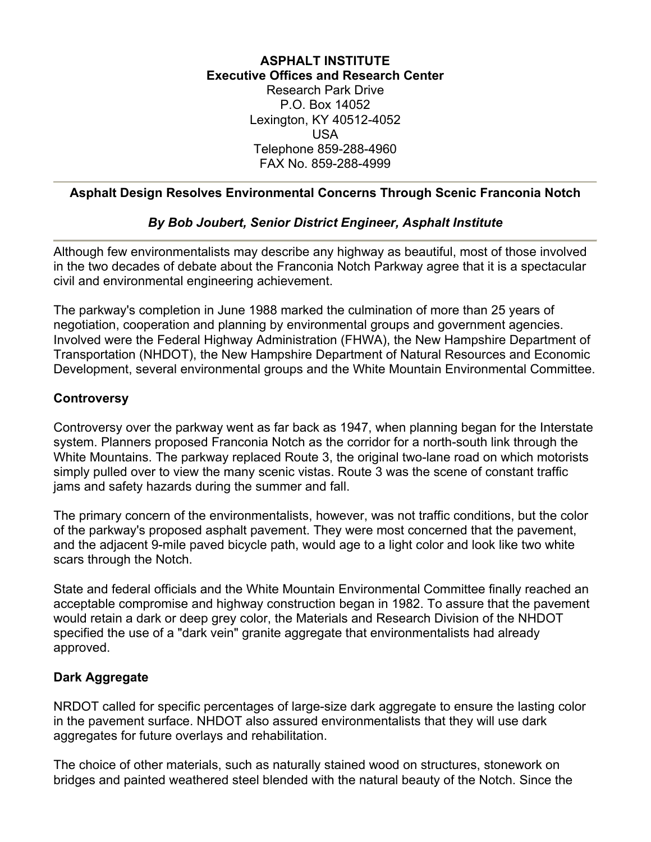## **ASPHALT INSTITUTE Executive Offices and Research Center** Research Park Drive P.O. Box 14052 Lexington, KY 40512-4052 USA Telephone 859-288-4960

### **Asphalt Design Resolves Environmental Concerns Through Scenic Franconia Notch**

FAX No. 859-288-4999

### *By Bob Joubert, Senior District Engineer, Asphalt Institute*

Although few environmentalists may describe any highway as beautiful, most of those involved in the two decades of debate about the Franconia Notch Parkway agree that it is a spectacular civil and environmental engineering achievement.

The parkway's completion in June 1988 marked the culmination of more than 25 years of negotiation, cooperation and planning by environmental groups and government agencies. Involved were the Federal Highway Administration (FHWA), the New Hampshire Department of Transportation (NHDOT), the New Hampshire Department of Natural Resources and Economic Development, several environmental groups and the White Mountain Environmental Committee.

#### **Controversy**

Controversy over the parkway went as far back as 1947, when planning began for the Interstate system. Planners proposed Franconia Notch as the corridor for a north-south link through the White Mountains. The parkway replaced Route 3, the original two-lane road on which motorists simply pulled over to view the many scenic vistas. Route 3 was the scene of constant traffic jams and safety hazards during the summer and fall.

The primary concern of the environmentalists, however, was not traffic conditions, but the color of the parkway's proposed asphalt pavement. They were most concerned that the pavement, and the adjacent 9-mile paved bicycle path, would age to a light color and look like two white scars through the Notch.

State and federal officials and the White Mountain Environmental Committee finally reached an acceptable compromise and highway construction began in 1982. To assure that the pavement would retain a dark or deep grey color, the Materials and Research Division of the NHDOT specified the use of a "dark vein" granite aggregate that environmentalists had already approved.

#### **Dark Aggregate**

NRDOT called for specific percentages of large-size dark aggregate to ensure the lasting color in the pavement surface. NHDOT also assured environmentalists that they will use dark aggregates for future overlays and rehabilitation.

The choice of other materials, such as naturally stained wood on structures, stonework on bridges and painted weathered steel blended with the natural beauty of the Notch. Since the